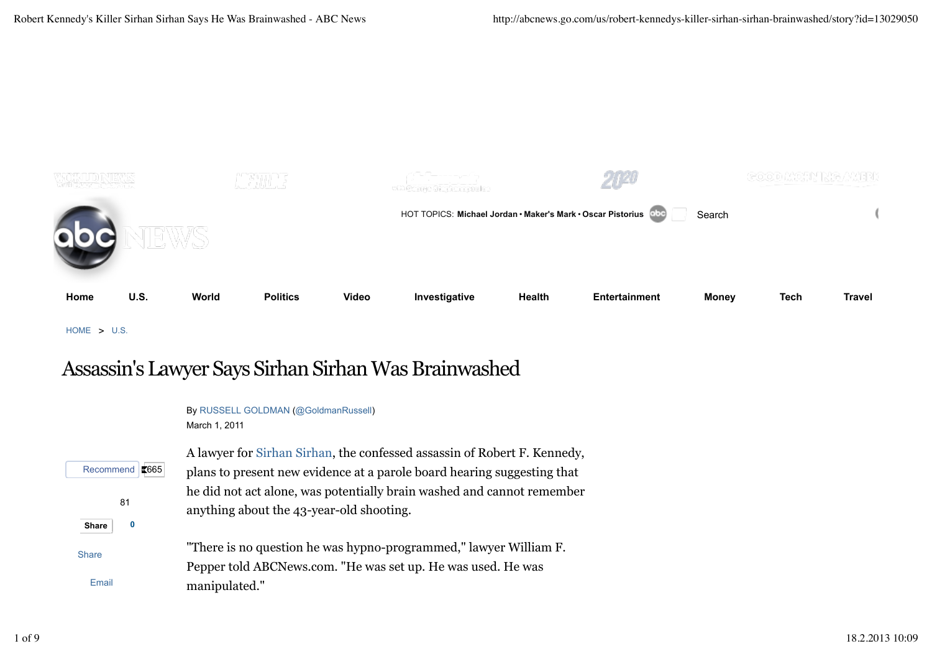

HOME > U.S.

# Assassin's Lawyer Says Sirhan Sirhan Was Brainwashed

|                   | By RUSSELL GOLDMAN (@GoldmanRussell)                                     |
|-------------------|--------------------------------------------------------------------------|
|                   | March 1, 2011                                                            |
|                   | A lawyer for Sirhan Sirhan, the confessed assassin of Robert F. Kennedy, |
| Recommend   3665  | plans to present new evidence at a parole board hearing suggesting that  |
| 81                | he did not act alone, was potentially brain washed and cannot remember   |
|                   | anything about the 43-year-old shooting.                                 |
| 0<br><b>Share</b> |                                                                          |
| <b>Share</b>      | "There is no question he was hypno-programmed," lawyer William F.        |
|                   | Pepper told ABCNews.com. "He was set up. He was used. He was             |
| Email             | manipulated."                                                            |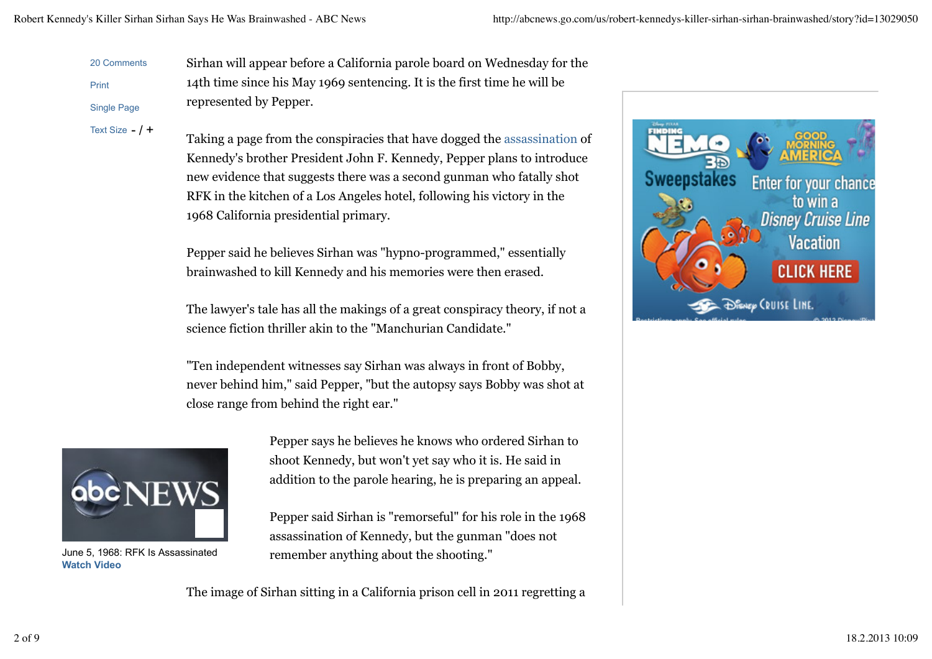represented by Pepper.

20 Comments Print

Text Size  $-$  /  $+$ Single Page

Taking a page from the conspiracies that have dogged the assassination of Kennedy's brother President John F. Kennedy, Pepper plans to introduce new evidence that suggests there was a second gunman who fatally shot RFK in the kitchen of a Los Angeles hotel, following his victory in the 1968 California presidential primary.

Sirhan will appear before a California parole board on Wednesday for the

14th time since his May 1969 sentencing. It is the first time he will be

Pepper said he believes Sirhan was "hypno-programmed," essentially brainwashed to kill Kennedy and his memories were then erased.

The lawyer's tale has all the makings of a great conspiracy theory, if not a science fiction thriller akin to the "Manchurian Candidate."

"Ten independent witnesses say Sirhan was always in front of Bobby, never behind him," said Pepper, "but the autopsy says Bobby was shot at close range from behind the right ear."



June 5, 1968: RFK Is Assassinated **Watch Video**

Pepper says he believes he knows who ordered Sirhan to shoot Kennedy, but won't yet say who it is. He said in addition to the parole hearing, he is preparing an appeal.

Pepper said Sirhan is "remorseful" for his role in the 1968 assassination of Kennedy, but the gunman "does not remember anything about the shooting."

The image of Sirhan sitting in a California prison cell in 2011 regretting a

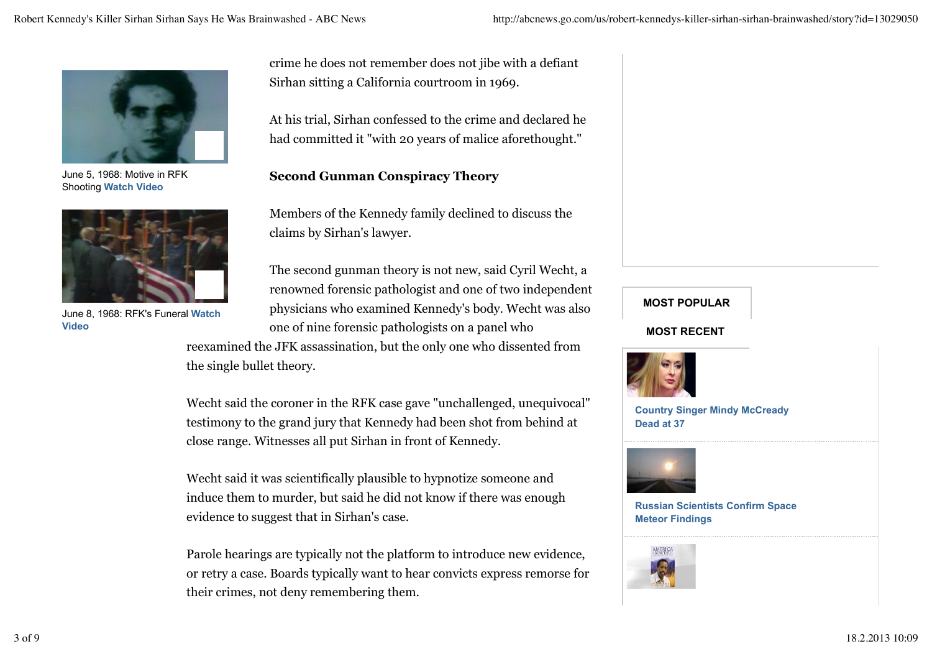

June 5, 1968: Motive in RFK Shooting **Watch Video**



June 8, 1968: RFK's Funeral **Watch**

crime he does not remember does not jibe with a defiant Sirhan sitting a California courtroom in 1969.

At his trial, Sirhan confessed to the crime and declared he had committed it "with 20 years of malice aforethought."

### **Second Gunman Conspiracy Theory**

Members of the Kennedy family declined to discuss the claims by Sirhan's lawyer.

The second gunman theory is not new, said Cyril Wecht, a renowned forensic pathologist and one of two independent physicians who examined Kennedy's body. Wecht was also one of nine forensic pathologists on a panel who **Video MOST RECENT**

> reexamined the JFK assassination, but the only one who dissented from the single bullet theory.

Wecht said the coroner in the RFK case gave "unchallenged, unequivocal" testimony to the grand jury that Kennedy had been shot from behind at close range. Witnesses all put Sirhan in front of Kennedy.

Wecht said it was scientifically plausible to hypnotize someone and induce them to murder, but said he did not know if there was enough evidence to suggest that in Sirhan's case.

Parole hearings are typically not the platform to introduce new evidence, or retry a case. Boards typically want to hear convicts express remorse for their crimes, not deny remembering them.

**MOST POPULAR**



**Country Singer Mindy McCready Dead at 37**



**Russian Scientists Confirm Space Meteor Findings**